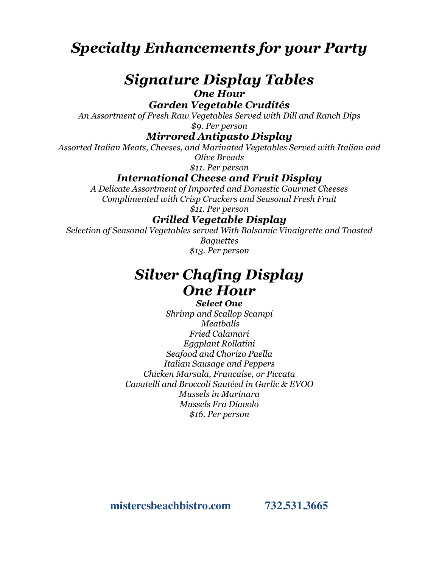*Specialty Enhancements for your Party*

# *Signature Display Tables*

*One Hour*

*Garden Vegetable Crudités* 

*An Assortment of Fresh Raw Vegetables Served with Dill and Ranch Dips \$9. Per person*

*Mirrored Antipasto Display* 

*Assorted Italian Meats, Cheeses, and Marinated Vegetables Served with Italian and Olive Breads*

*\$11. Per person*

*International Cheese and Fruit Display* 

*A Delicate Assortment of Imported and Domestic Gourmet Cheeses Complimented with Crisp Crackers and Seasonal Fresh Fruit*

*\$11. Per person*

### *Grilled Vegetable Display*

*Selection of Seasonal Vegetables served With Balsamic Vinaigrette and Toasted Baguettes \$13. Per person*

## *Silver Chafing Display One Hour*

*Select One Shrimp and Scallop Scampi Meatballs Fried Calamari Eggplant Rollatini Seafood and Chorizo Paella Italian Sausage and Peppers Chicken Marsala, Francaise, or Piccata Cavatelli and Broccoli Sautéed in Garlic & EVOO Mussels in Marinara Mussels Fra Diavolo \$16. Per person*

**mistercsbeachbistro.com 732.531.3665**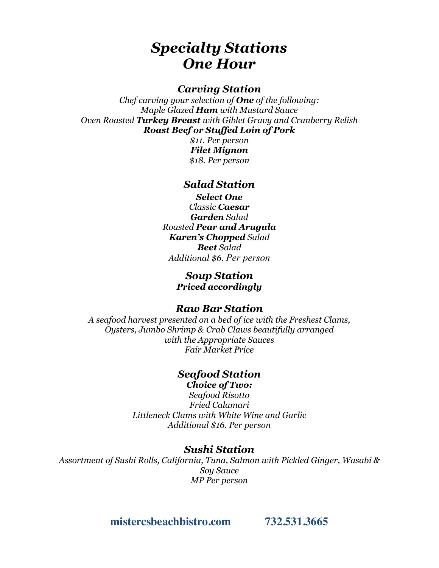## *Specialty Stations One Hour*

### *Carving Station*

*Chef carving your selection of One of the following: Maple Glazed Ham with Mustard Sauce Oven Roasted Turkey Breast with Giblet Gravy and Cranberry Relish Roast Beef or Stuffed Loin of Pork*

> *\$11. Per person Filet Mignon \$18. Per person*

### *Salad Station*

*Select One Classic Caesar Garden Salad Roasted Pear and Arugula Karen's Chopped Salad Beet Salad Additional \$6. Per person*

#### *Soup Station Priced accordingly*

#### *Raw Bar Station*

*A seafood harvest presented on a bed of ice with the Freshest Clams, Oysters, Jumbo Shrimp & Crab Claws beautifully arranged with the Appropriate Sauces Fair Market Price*

### *Seafood Station*

*Choice of Two:*

*Seafood Risotto Fried Calamari Littleneck Clams with White Wine and Garlic Additional \$16. Per person*

#### *Sushi Station*

*Assortment of Sushi Rolls, California, Tuna, Salmon with Pickled Ginger, Wasabi & Soy Sauce MP Per person*

**mistercsbeachbistro.com 732.531.3665**